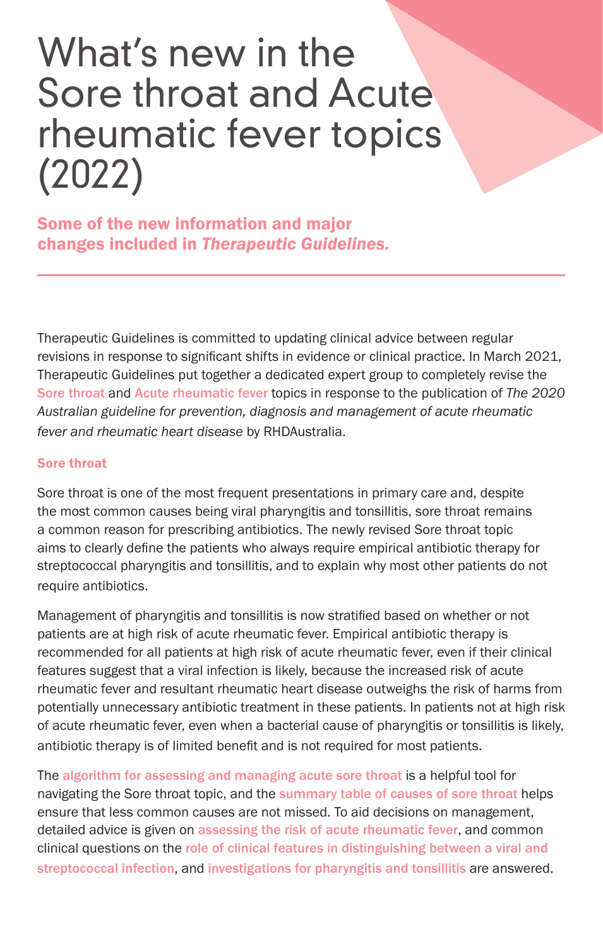## What's new in the Sore throat and Acute rheumatic fever topics (2022)

Some of the new information and major changes included in *Therapeutic Guidelines.*

Therapeutic Guidelines is committed to updating clinical advice between regular revisions in response to significant shifts in evidence or clinical practice. In March 2021, Therapeutic Guidelines put together a dedicated expert group to completely revise the Sore throat and Acute rheumatic fever topics in response to the publication of *The 2020 Australian guideline for prevention, diagnosis and management of acute rheumatic fever and rheumatic heart disease* by RHDAustralia.

## Sore throat

Sore throat is one of the most frequent presentations in primary care and, despite the most common causes being viral pharyngitis and tonsillitis, sore throat remains a common reason for prescribing antibiotics. The newly revised Sore throat topic aims to clearly define the patients who always require empirical antibiotic therapy for streptococcal pharyngitis and tonsillitis, and to explain why most other patients do not require antibiotics.

Management of pharyngitis and tonsillitis is now stratified based on whether or not patients are at high risk of acute rheumatic fever. Empirical antibiotic therapy is recommended for all patients at high risk of acute rheumatic fever, even if their clinical features suggest that a viral infection is likely, because the increased risk of acute rheumatic fever and resultant rheumatic heart disease outweighs the risk of harms from potentially unnecessary antibiotic treatment in these patients. In patients not at high risk of acute rheumatic fever, even when a bacterial cause of pharyngitis or tonsillitis is likely, antibiotic therapy is of limited benefit and is not required for most patients.

The algorithm for assessing and managing acute sore throat is a helpful tool for navigating the Sore throat topic, and the summary table of causes of sore throat helps ensure that less common causes are not missed. To aid decisions on management, detailed advice is given on assessing the risk of acute rheumatic fever, and common clinical questions on the role of clinical features in distinguishing between a viral and streptococcal infection, and investigations for pharyngitis and tonsillitis are answered.